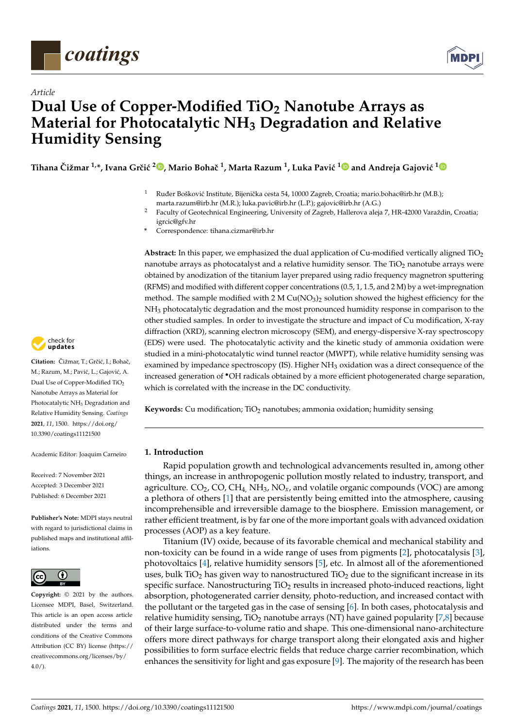

*Article*



# **Dual Use of Copper-Modified TiO<sup>2</sup> Nanotube Arrays as Material for Photocatalytic NH<sup>3</sup> Degradation and Relative Humidity Sensing**

 $\rm Tihana\ \v{C}i\v{z}mar\ ^{1,\ast},$  $\rm Tihana\ \v{C}i\v{z}mar\ ^{1,\ast},$  $\rm Tihana\ \v{C}i\v{z}mar\ ^{1,\ast},$  Ivana Grčić <sup>2</sup>©, Mario Bohač <sup>[1](https://orcid.org/0000-0002-5488-2227)</sup>, Marta Razum <sup>1</sup>, Luka Pavić <sup>1</sup>☉ and Andreja Gajović <sup>1</sup>

- Ruđer Bošković Institute, Bijenička cesta 54, 10000 Zagreb, Croatia; mario.bohac@irb.hr (M.B.); marta.razum@irb.hr (M.R.); luka.pavic@irb.hr (L.P.); gajovic@irb.hr (A.G.)
- <sup>2</sup> Faculty of Geotechnical Engineering, University of Zagreb, Hallerova aleja 7, HR-42000 Varaždin, Croatia; igrcic@gfv.hr
- **\*** Correspondence: tihana.cizmar@irb.hr

**Abstract:** In this paper, we emphasized the dual application of Cu-modified vertically aligned TiO<sup>2</sup> nanotube arrays as photocatalyst and a relative humidity sensor. The  $TiO<sub>2</sub>$  nanotube arrays were obtained by anodization of the titanium layer prepared using radio frequency magnetron sputtering (RFMS) and modified with different copper concentrations (0.5, 1, 1.5, and 2 M) by a wet-impregnation method. The sample modified with 2 M  $Cu(NO<sub>3</sub>)<sub>2</sub>$  solution showed the highest efficiency for the NH<sub>3</sub> photocatalytic degradation and the most pronounced humidity response in comparison to the other studied samples. In order to investigate the structure and impact of Cu modification, X-ray diffraction (XRD), scanning electron microscopy (SEM), and energy-dispersive X-ray spectroscopy (EDS) were used. The photocatalytic activity and the kinetic study of ammonia oxidation were studied in a mini-photocatalytic wind tunnel reactor (MWPT), while relative humidity sensing was examined by impedance spectroscopy (IS). Higher NH<sub>3</sub> oxidation was a direct consequence of the increased generation of •OH radicals obtained by a more efficient photogenerated charge separation, which is correlated with the increase in the DC conductivity.

**Keywords:** Cu modification; TiO<sub>2</sub> nanotubes; ammonia oxidation; humidity sensing

## **1. Introduction**

Rapid population growth and technological advancements resulted in, among other things, an increase in anthropogenic pollution mostly related to industry, transport, and agriculture.  $CO<sub>2</sub>$ , CO, CH<sub>4</sub>, NH<sub>3</sub>, NO<sub>x</sub>, and volatile organic compounds (VOC) are among a plethora of others [\[1\]](#page-13-0) that are persistently being emitted into the atmosphere, causing incomprehensible and irreversible damage to the biosphere. Emission management, or rather efficient treatment, is by far one of the more important goals with advanced oxidation processes (AOP) as a key feature.

Titanium (IV) oxide, because of its favorable chemical and mechanical stability and non-toxicity can be found in a wide range of uses from pigments [\[2\]](#page-13-1), photocatalysis [\[3\]](#page-13-2), photovoltaics [\[4\]](#page-13-3), relative humidity sensors [\[5\]](#page-13-4), etc. In almost all of the aforementioned uses, bulk TiO<sub>2</sub> has given way to nanostructured TiO<sub>2</sub> due to the significant increase in its specific surface. Nanostructuring  $TiO<sub>2</sub>$  results in increased photo-induced reactions, light absorption, photogenerated carrier density, photo-reduction, and increased contact with the pollutant or the targeted gas in the case of sensing [\[6\]](#page-13-5). In both cases, photocatalysis and relative humidity sensing,  $TiO<sub>2</sub>$  nanotube arrays (NT) have gained popularity [\[7,](#page-13-6)[8\]](#page-13-7) because of their large surface-to-volume ratio and shape. This one-dimensional nano-architecture offers more direct pathways for charge transport along their elongated axis and higher possibilities to form surface electric fields that reduce charge carrier recombination, which enhances the sensitivity for light and gas exposure [\[9\]](#page-13-8). The majority of the research has been



Citation: Čižmar, T.; Grčić, I.; Bohač, M.; Razum, M.; Pavić, L.; Gajović, A. Dual Use of Copper-Modified TiO<sub>2</sub> Nanotube Arrays as Material for Photocatalytic NH<sub>3</sub> Degradation and Relative Humidity Sensing. *Coatings* **2021**, *11*, 1500. [https://doi.org/](https://doi.org/10.3390/coatings11121500) [10.3390/coatings11121500](https://doi.org/10.3390/coatings11121500)

Academic Editor: Joaquim Carneiro

Received: 7 November 2021 Accepted: 3 December 2021 Published: 6 December 2021

**Publisher's Note:** MDPI stays neutral with regard to jurisdictional claims in published maps and institutional affiliations.



**Copyright:** © 2021 by the authors. Licensee MDPI, Basel, Switzerland. This article is an open access article distributed under the terms and conditions of the Creative Commons Attribution (CC BY) license (https:/[/](https://creativecommons.org/licenses/by/4.0/) [creativecommons.org/licenses/by/](https://creativecommons.org/licenses/by/4.0/)  $4.0/$ ).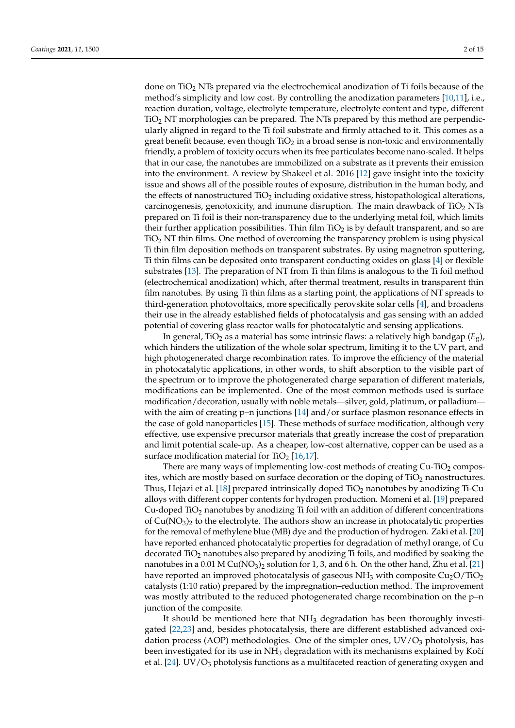done on TiO<sup>2</sup> NTs prepared via the electrochemical anodization of Ti foils because of the method's simplicity and low cost. By controlling the anodization parameters [\[10](#page-13-9)[,11\]](#page-13-10), i.e., reaction duration, voltage, electrolyte temperature, electrolyte content and type, different  $TiO<sub>2</sub> NT$  morphologies can be prepared. The NTs prepared by this method are perpendicularly aligned in regard to the Ti foil substrate and firmly attached to it. This comes as a great benefit because, even though  $TiO<sub>2</sub>$  in a broad sense is non-toxic and environmentally friendly, a problem of toxicity occurs when its free particulates become nano-scaled. It helps that in our case, the nanotubes are immobilized on a substrate as it prevents their emission into the environment. A review by Shakeel et al. 2016 [\[12\]](#page-13-11) gave insight into the toxicity issue and shows all of the possible routes of exposure, distribution in the human body, and the effects of nanostructured  $TiO<sub>2</sub>$  including oxidative stress, histopathological alterations, carcinogenesis, genotoxicity, and immune disruption. The main drawback of  $TiO<sub>2</sub> NTs$ prepared on Ti foil is their non-transparency due to the underlying metal foil, which limits their further application possibilities. Thin film  $TiO<sub>2</sub>$  is by default transparent, and so are  $TiO<sub>2</sub> NT$  thin films. One method of overcoming the transparency problem is using physical Ti thin film deposition methods on transparent substrates. By using magnetron sputtering, Ti thin films can be deposited onto transparent conducting oxides on glass [\[4\]](#page-13-3) or flexible substrates [\[13\]](#page-13-12). The preparation of NT from Ti thin films is analogous to the Ti foil method (electrochemical anodization) which, after thermal treatment, results in transparent thin film nanotubes. By using Ti thin films as a starting point, the applications of NT spreads to third-generation photovoltaics, more specifically perovskite solar cells [\[4\]](#page-13-3), and broadens their use in the already established fields of photocatalysis and gas sensing with an added potential of covering glass reactor walls for photocatalytic and sensing applications.

In general, TiO<sub>2</sub> as a material has some intrinsic flaws: a relatively high bandgap ( $E<sub>g</sub>$ ), which hinders the utilization of the whole solar spectrum, limiting it to the UV part, and high photogenerated charge recombination rates. To improve the efficiency of the material in photocatalytic applications, in other words, to shift absorption to the visible part of the spectrum or to improve the photogenerated charge separation of different materials, modifications can be implemented. One of the most common methods used is surface modification/decoration, usually with noble metals—silver, gold, platinum, or palladium— with the aim of creating p–n junctions [\[14\]](#page-13-13) and/or surface plasmon resonance effects in the case of gold nanoparticles [\[15\]](#page-13-14). These methods of surface modification, although very effective, use expensive precursor materials that greatly increase the cost of preparation and limit potential scale-up. As a cheaper, low-cost alternative, copper can be used as a surface modification material for  $TiO<sub>2</sub>$  [\[16](#page-13-15)[,17\]](#page-13-16).

There are many ways of implementing low-cost methods of creating  $Cu-TiO<sub>2</sub>$  composites, which are mostly based on surface decoration or the doping of  $TiO<sub>2</sub>$  nanostructures. Thus, Hejazi et al. [\[18\]](#page-13-17) prepared intrinsically doped  $TiO<sub>2</sub>$  nanotubes by anodizing Ti-Cu alloys with different copper contents for hydrogen production. Momeni et al. [\[19\]](#page-13-18) prepared Cu-doped TiO<sub>2</sub> nanotubes by anodizing Ti foil with an addition of different concentrations of  $Cu(NO<sub>3</sub>)<sub>2</sub>$  to the electrolyte. The authors show an increase in photocatalytic properties for the removal of methylene blue (MB) dye and the production of hydrogen. Zaki et al. [\[20\]](#page-13-19) have reported enhanced photocatalytic properties for degradation of methyl orange, of Cu decorated TiO<sup>2</sup> nanotubes also prepared by anodizing Ti foils, and modified by soaking the nanotubes in a 0.01 M Cu(NO<sub>3</sub>)<sub>2</sub> solution for 1, 3, and 6 h. On the other hand, Zhu et al. [\[21\]](#page-13-20) have reported an improved photocatalysis of gaseous  $NH<sub>3</sub>$  with composite Cu<sub>2</sub>O/TiO<sub>2</sub> catalysts (1:10 ratio) prepared by the impregnation–reduction method. The improvement was mostly attributed to the reduced photogenerated charge recombination on the p–n junction of the composite.

It should be mentioned here that NH<sub>3</sub> degradation has been thoroughly investigated [\[22,](#page-13-21)[23\]](#page-13-22) and, besides photocatalysis, there are different established advanced oxidation process (AOP) methodologies. One of the simpler ones,  $UV/O<sub>3</sub>$  photolysis, has been investigated for its use in  $NH<sub>3</sub>$  degradation with its mechanisms explained by Kočí et al. [\[24\]](#page-13-23). UV/ $O_3$  photolysis functions as a multifaceted reaction of generating oxygen and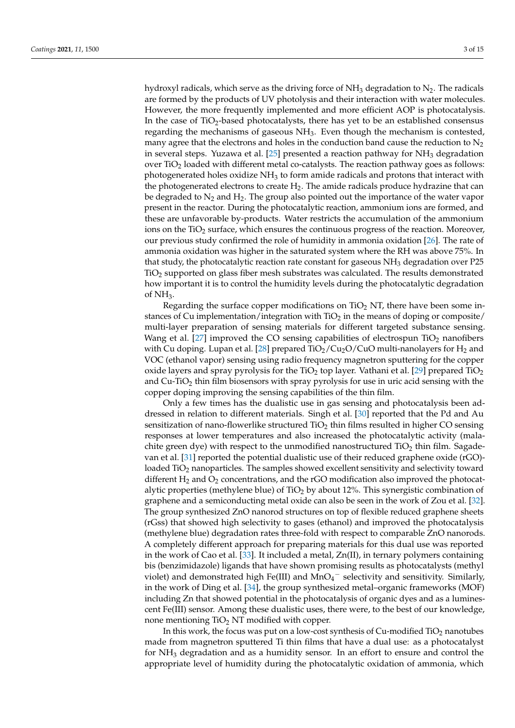hydroxyl radicals, which serve as the driving force of  $NH<sub>3</sub>$  degradation to  $N<sub>2</sub>$ . The radicals are formed by the products of UV photolysis and their interaction with water molecules. However, the more frequently implemented and more efficient AOP is photocatalysis. In the case of TiO<sub>2</sub>-based photocatalysts, there has yet to be an established consensus regarding the mechanisms of gaseous  $NH<sub>3</sub>$ . Even though the mechanism is contested, many agree that the electrons and holes in the conduction band cause the reduction to  $N_2$ in several steps. Yuzawa et al. [\[25\]](#page-13-24) presented a reaction pathway for  $NH<sub>3</sub>$  degradation over  $TiO<sub>2</sub>$  loaded with different metal co-catalysts. The reaction pathway goes as follows: photogenerated holes oxidize  $NH<sub>3</sub>$  to form amide radicals and protons that interact with the photogenerated electrons to create  $H<sub>2</sub>$ . The amide radicals produce hydrazine that can be degraded to  $N_2$  and  $H_2$ . The group also pointed out the importance of the water vapor present in the reactor. During the photocatalytic reaction, ammonium ions are formed, and these are unfavorable by-products. Water restricts the accumulation of the ammonium ions on the TiO<sub>2</sub> surface, which ensures the continuous progress of the reaction. Moreover, our previous study confirmed the role of humidity in ammonia oxidation [\[26\]](#page-13-25). The rate of ammonia oxidation was higher in the saturated system where the RH was above 75%. In that study, the photocatalytic reaction rate constant for gaseous  $NH<sub>3</sub>$  degradation over P25 TiO<sup>2</sup> supported on glass fiber mesh substrates was calculated. The results demonstrated how important it is to control the humidity levels during the photocatalytic degradation of  $NH<sub>3</sub>$ .

Regarding the surface copper modifications on  $TiO<sub>2</sub> NT$ , there have been some instances of Cu implementation/integration with  $TiO<sub>2</sub>$  in the means of doping or composite/ multi-layer preparation of sensing materials for different targeted substance sensing. Wang et al. [\[27\]](#page-13-26) improved the CO sensing capabilities of electrospun  $TiO<sub>2</sub>$  nanofibers with Cu doping. Lupan et al. [\[28\]](#page-14-0) prepared  $TiO<sub>2</sub>/Cu<sub>2</sub>O/CuO$  multi-nanolayers for H<sub>2</sub> and VOC (ethanol vapor) sensing using radio frequency magnetron sputtering for the copper oxide layers and spray pyrolysis for the  $TiO<sub>2</sub>$  top layer. Vathani et al. [\[29\]](#page-14-1) prepared  $TiO<sub>2</sub>$ and  $Cu$ -TiO<sub>2</sub> thin film biosensors with spray pyrolysis for use in uric acid sensing with the copper doping improving the sensing capabilities of the thin film.

Only a few times has the dualistic use in gas sensing and photocatalysis been addressed in relation to different materials. Singh et al. [\[30\]](#page-14-2) reported that the Pd and Au sensitization of nano-flowerlike structured  $TiO<sub>2</sub>$  thin films resulted in higher CO sensing responses at lower temperatures and also increased the photocatalytic activity (malachite green dye) with respect to the unmodified nanostructured  $TiO<sub>2</sub>$  thin film. Sagadevan et al. [\[31\]](#page-14-3) reported the potential dualistic use of their reduced graphene oxide (rGO) loaded TiO<sub>2</sub> nanoparticles. The samples showed excellent sensitivity and selectivity toward different  $H_2$  and  $O_2$  concentrations, and the rGO modification also improved the photocatalytic properties (methylene blue) of  $TiO<sub>2</sub>$  by about 12%. This synergistic combination of graphene and a semiconducting metal oxide can also be seen in the work of Zou et al. [\[32\]](#page-14-4). The group synthesized ZnO nanorod structures on top of flexible reduced graphene sheets (rGss) that showed high selectivity to gases (ethanol) and improved the photocatalysis (methylene blue) degradation rates three-fold with respect to comparable ZnO nanorods. A completely different approach for preparing materials for this dual use was reported in the work of Cao et al. [\[33\]](#page-14-5). It included a metal,  $Zn(II)$ , in ternary polymers containing bis (benzimidazole) ligands that have shown promising results as photocatalysts (methyl violet) and demonstrated high Fe(III) and  $\text{MnO}_4$ <sup>-</sup> selectivity and sensitivity. Similarly, in the work of Ding et al. [\[34\]](#page-14-6), the group synthesized metal–organic frameworks (MOF) including Zn that showed potential in the photocatalysis of organic dyes and as a luminescent Fe(III) sensor. Among these dualistic uses, there were, to the best of our knowledge, none mentioning  $TiO<sub>2</sub> NT$  modified with copper.

In this work, the focus was put on a low-cost synthesis of Cu-modified  $TiO<sub>2</sub>$  nanotubes made from magnetron sputtered Ti thin films that have a dual use: as a photocatalyst for  $NH<sub>3</sub>$  degradation and as a humidity sensor. In an effort to ensure and control the appropriate level of humidity during the photocatalytic oxidation of ammonia, which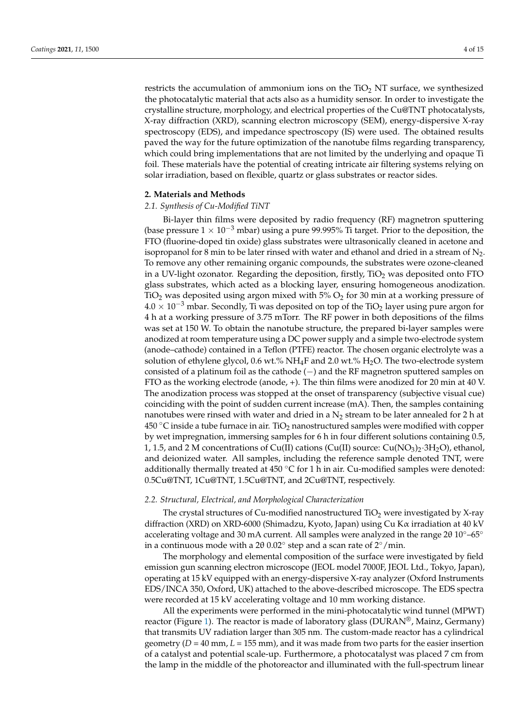restricts the accumulation of ammonium ions on the  $TiO<sub>2</sub> NT$  surface, we synthesized the photocatalytic material that acts also as a humidity sensor. In order to investigate the crystalline structure, morphology, and electrical properties of the Cu@TNT photocatalysts, X-ray diffraction (XRD), scanning electron microscopy (SEM), energy-dispersive X-ray spectroscopy (EDS), and impedance spectroscopy (IS) were used. The obtained results paved the way for the future optimization of the nanotube films regarding transparency, which could bring implementations that are not limited by the underlying and opaque Ti foil. These materials have the potential of creating intricate air filtering systems relying on solar irradiation, based on flexible, quartz or glass substrates or reactor sides.

#### **2. Materials and Methods**

#### *2.1. Synthesis of Cu-Modified TiNT*

Bi-layer thin films were deposited by radio frequency (RF) magnetron sputtering (base pressure  $1 \times 10^{-3}$  mbar) using a pure 99.995% Ti target. Prior to the deposition, the FTO (fluorine-doped tin oxide) glass substrates were ultrasonically cleaned in acetone and isopropanol for 8 min to be later rinsed with water and ethanol and dried in a stream of  $N<sub>2</sub>$ . To remove any other remaining organic compounds, the substrates were ozone-cleaned in a UV-light ozonator. Regarding the deposition, firstly,  $TiO<sub>2</sub>$  was deposited onto FTO glass substrates, which acted as a blocking layer, ensuring homogeneous anodization. TiO<sub>2</sub> was deposited using argon mixed with  $5\%$  O<sub>2</sub> for 30 min at a working pressure of  $4.0 \times 10^{-3}$  mbar. Secondly, Ti was deposited on top of the TiO<sub>2</sub> layer using pure argon for 4 h at a working pressure of 3.75 mTorr. The RF power in both depositions of the films was set at 150 W. To obtain the nanotube structure, the prepared bi-layer samples were anodized at room temperature using a DC power supply and a simple two-electrode system (anode–cathode) contained in a Teflon (PTFE) reactor. The chosen organic electrolyte was a solution of ethylene glycol, 0.6 wt.%  $NH_4F$  and 2.0 wt.%  $H_2O$ . The two-electrode system consisted of a platinum foil as the cathode (−) and the RF magnetron sputtered samples on FTO as the working electrode (anode, +). The thin films were anodized for 20 min at 40 V. The anodization process was stopped at the onset of transparency (subjective visual cue) coinciding with the point of sudden current increase (mA). Then, the samples containing nanotubes were rinsed with water and dried in a  $N_2$  stream to be later annealed for 2 h at 450  $\degree$ C inside a tube furnace in air. TiO<sub>2</sub> nanostructured samples were modified with copper by wet impregnation, immersing samples for 6 h in four different solutions containing 0.5, 1, 1.5, and 2 M concentrations of Cu(II) cations (Cu(II) source: Cu(NO<sub>3</sub>)<sub>2</sub>·3H<sub>2</sub>O), ethanol, and deionized water. All samples, including the reference sample denoted TNT, were additionally thermally treated at  $450\text{ °C}$  for 1 h in air. Cu-modified samples were denoted: 0.5Cu@TNT, 1Cu@TNT, 1.5Cu@TNT, and 2Cu@TNT, respectively.

### *2.2. Structural, Electrical, and Morphological Characterization*

The crystal structures of Cu-modified nanostructured  $TiO<sub>2</sub>$  were investigated by X-ray diffraction (XRD) on XRD-6000 (Shimadzu, Kyoto, Japan) using Cu Kα irradiation at 40 kV accelerating voltage and 30 mA current. All samples were analyzed in the range 20  $10^{\circ}$ –65° in a continuous mode with a 2 $\theta$  0.02 $\degree$  step and a scan rate of 2 $\degree$ /min.

The morphology and elemental composition of the surface were investigated by field emission gun scanning electron microscope (JEOL model 7000F, JEOL Ltd., Tokyo, Japan), operating at 15 kV equipped with an energy-dispersive X-ray analyzer (Oxford Instruments EDS/INCA 350, Oxford, UK) attached to the above-described microscope. The EDS spectra were recorded at 15 kV accelerating voltage and 10 mm working distance.

All the experiments were performed in the mini-photocatalytic wind tunnel (MPWT) reactor (Figure [1\)](#page-4-0). The reactor is made of laboratory glass (DURAN®, Mainz, Germany) that transmits UV radiation larger than 305 nm. The custom-made reactor has a cylindrical geometry (*D* = 40 mm, *L* = 155 mm), and it was made from two parts for the easier insertion of a catalyst and potential scale-up. Furthermore, a photocatalyst was placed 7 cm from the lamp in the middle of the photoreactor and illuminated with the full-spectrum linear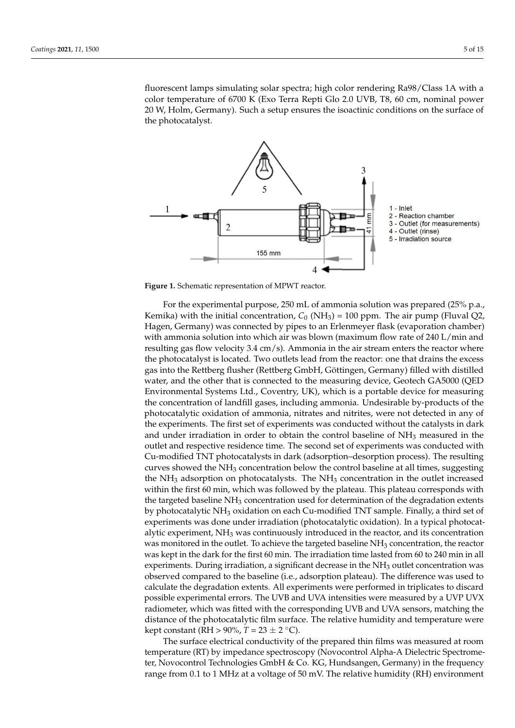fluorescent lamps simulating solar spectra; high color rendering Ra98/Class 1A with a color temperature of 6700 K (Exo Terra Repti Glo 2.0 UVB, T8, 60 cm, nominal power 20 W, Holm, Germany). Such a setup ensures the isoactinic conditions on the surface of the photocatalyst. cm from the lamp in the middle of the photoreactor and illuminated with the full-spectuorescent lamps simulating solar spectra; high color rendering Ra98/Class TA with a

drical geometry (*D* = 40 mm, *L* = 155 mm), and it was made from two parts for the easier

<span id="page-4-0"></span>

**Figure 1.** Schematic representation of MPWT reactor. **Figure 1.** Schematic representation of MPWT reactor.

For the experimental purpose, 250 mL of ammonia solution was prepared (25% p.a., For the experimental purpose, 250 mL of ammonia solution was prepared (25% p.a., Kemika) with the initial concentration, *C*0 (NH3) = 100 ppm. The air pump (Fluval Q2, Kemika) with the initial concentration, *C*<sup>0</sup> (NH3) = 100 ppm. The air pump (Fluval Q2, Hagen, Germany) was connected by pipes to an Erlenmeyer flask (evaporation chamber) Hagen, Germany) was connected by pipes to an Erlenmeyer flask (evaporation chamber) with ammonia solution into which air was blown (maximum flow rate of 240 L/min and with ammonia solution into which air was blown (maximum flow rate of 240 L/min and resulting gas flow velocity 3.4 cm/s). Ammonia in the air stream enters the reactor where resulting gas flow velocity 3.4 cm/s). Ammonia in the air stream enters the reactor where the photocatalyst is located. Two outlets lead from the reactor: one that drains the excess the photocatalyst is located. Two outlets lead from the reactor: one that drains the excess gas into the Rettberg flusher (Rettberg GmbH, Göttingen, Germany) filled with distilled gas into the Rettberg flusher (Rettberg GmbH, Göttingen, Germany) filled with distilled water, and the other that is connected to the measuring device, Geotech GA5000 (QED water, and the other that is connected to the measuring device, Geotech GA5000 (QED Environmental Systems Ltd., Coventry, UK), which is a portable device for measuring the Environmental Systems Ltd., Coventry, UK), which is a portable device for measuring the concentration of landfill gases, including ammonia. Undesirable by-products of the photocatalytic oxidation of ammonia, nitrates and nitrites, were not detected in any of the experiments. The first set of experiments was conducted without the catalysts in dark and  $\frac{1}{\sqrt{2\pi}}$ and under irradiation in order to obtain the control baseline of  $NH<sub>3</sub>$  measured in the outlet and respective residence time. The second set of experiments was conducted with  $\epsilon$ modified TNT photocatalysts in dark (adsorption–desorption process). The resulting Cu-modified TNT photocatalysts in dark (adsorption–desorption process). The resulting curves showed the NH<sub>3</sub> concentration below the control baseline at all times, suggesting  $\overline{a}$ the  $NH<sub>3</sub>$  adsorption on photocatalysts. The  $NH<sub>3</sub>$  concentration in the outlet increased within the first 60 min, which was followed by the plateau. This plateau corresponds with with the first of the plateau corresponds with the targeted baseline  $NH_3$  concentration used for determination of the degradation extents  $\frac{1}{100}$ by photocatalytic NH<sub>3</sub> oxidation on each Cu-modified TNT sample. Finally, a third set of experiments was done under irradiation (photocatalytic oxidation). In a typical photocat-<br>alytic experiment,  $NH_3$  was continuously introduced in the reactor, and its concentration  $\ddot{I}$ was monitored in the outlet. To achieve the targeted baseline NH<sub>3</sub> concentration, the reactor was kept in the dark for the first 60 min. The irradiation time lasted from 60 to 240 min in all  $\sim$ experiments. During irradiation, a significant decrease in the NH<sub>3</sub> outlet concentration was<br>experiments. During irradiation, a significant decrease in the NH<sub>3</sub> outlet concentration was observed compared to the baseline (i.e., adsorption plateau). The difference was used to the baseline of the baseline of the baseline of the baseline of the baseline of the baseline of the baseline of the baseline of the b calculate the degradation extents. All experiments were performed in triplicates to discard<br>rescribis auxerimental survey. The LWP and LWA intensities were massured by a LWP LWX possible experimental errors. The UVB and UVI intensities were measured by a UVI UVX radiometer, which was fitted with the corresponding UVB and UVA sensors, matching the possible experimental errors. The UVB and UVA intensities were measured by a UVP UVX distance of the photocatalytic film surface. The relative humidity and temperature were kept constant ( $\overline{RH} > 90\%$ ,  $T = 23 \pm 2 \degree C$ ).

The surface electrical conductivity of the prepared thin films was measured at room temperature (RT) by impedance spectroscopy (Novocontrol Alpha-A Dielectric Spectrometer, Novocontrol Technologies GmbH & Co. KG, Hundsangen, Germany) in the frequency range from 0.1 to 1 MHz at a voltage of 50 mV. The relative humidity (RH) environment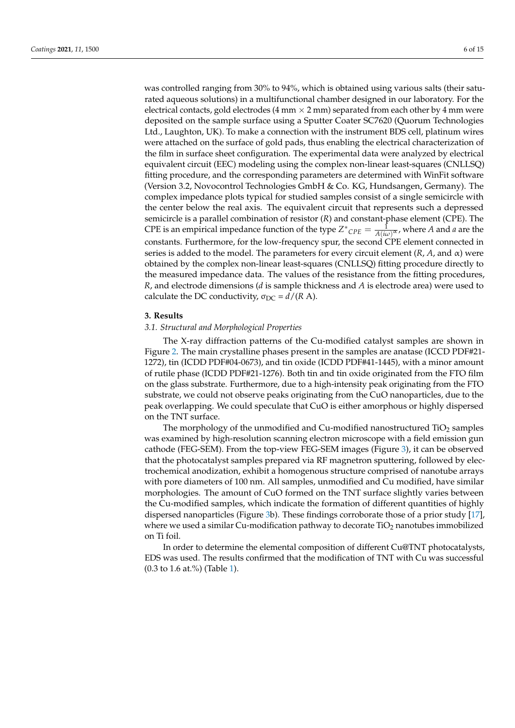was controlled ranging from 30% to 94%, which is obtained using various salts (their saturated aqueous solutions) in a multifunctional chamber designed in our laboratory. For the electrical contacts, gold electrodes (4 mm  $\times$  2 mm) separated from each other by 4 mm were deposited on the sample surface using a Sputter Coater SC7620 (Quorum Technologies Ltd., Laughton, UK). To make a connection with the instrument BDS cell, platinum wires were attached on the surface of gold pads, thus enabling the electrical characterization of the film in surface sheet configuration. The experimental data were analyzed by electrical equivalent circuit (EEC) modeling using the complex non-linear least-squares (CNLLSQ) fitting procedure, and the corresponding parameters are determined with WinFit software (Version 3.2, Novocontrol Technologies GmbH & Co. KG, Hundsangen, Germany). The complex impedance plots typical for studied samples consist of a single semicircle with the center below the real axis. The equivalent circuit that represents such a depressed semicircle is a parallel combination of resistor (*R*) and constant-phase element (CPE). The CPE is an empirical impedance function of the type  $Z^*_{\text{CPE}} = \frac{1}{A(i\omega)^{\alpha}}$ , where *A* and *a* are the constants. Furthermore, for the low-frequency spur, the second CPE element connected in series is added to the model. The parameters for every circuit element (*R*, *A*, and α) were obtained by the complex non-linear least-squares (CNLLSQ) fitting procedure directly to the measured impedance data. The values of the resistance from the fitting procedures, *R*, and electrode dimensions (*d* is sample thickness and *A* is electrode area) were used to calculate the DC conductivity,  $\sigma_{DC} = d/(R A)$ .

#### **3. Results**

#### *3.1. Structural and Morphological Properties*

The X-ray diffraction patterns of the Cu-modified catalyst samples are shown in Figure [2.](#page-6-0) The main crystalline phases present in the samples are anatase (ICCD PDF#21- 1272), tin (ICDD PDF#04-0673), and tin oxide (ICDD PDF#41-1445), with a minor amount of rutile phase (ICDD PDF#21-1276). Both tin and tin oxide originated from the FTO film on the glass substrate. Furthermore, due to a high-intensity peak originating from the FTO substrate, we could not observe peaks originating from the CuO nanoparticles, due to the peak overlapping. We could speculate that CuO is either amorphous or highly dispersed on the TNT surface.

The morphology of the unmodified and Cu-modified nanostructured  $TiO<sub>2</sub>$  samples was examined by high-resolution scanning electron microscope with a field emission gun cathode (FEG-SEM). From the top-view FEG-SEM images (Figure [3\)](#page-6-1), it can be observed that the photocatalyst samples prepared via RF magnetron sputtering, followed by electrochemical anodization, exhibit a homogenous structure comprised of nanotube arrays with pore diameters of 100 nm. All samples, unmodified and Cu modified, have similar morphologies. The amount of CuO formed on the TNT surface slightly varies between the Cu-modified samples, which indicate the formation of different quantities of highly dispersed nanoparticles (Figure [3b](#page-6-1)). These findings corroborate those of a prior study [\[17\]](#page-13-16), where we used a similar Cu-modification pathway to decorate  $TiO<sub>2</sub>$  nanotubes immobilized on Ti foil.

In order to determine the elemental composition of different Cu@TNT photocatalysts, EDS was used. The results confirmed that the modification of TNT with Cu was successful (0.3 to 1.6 at.%) (Table [1\)](#page-6-2).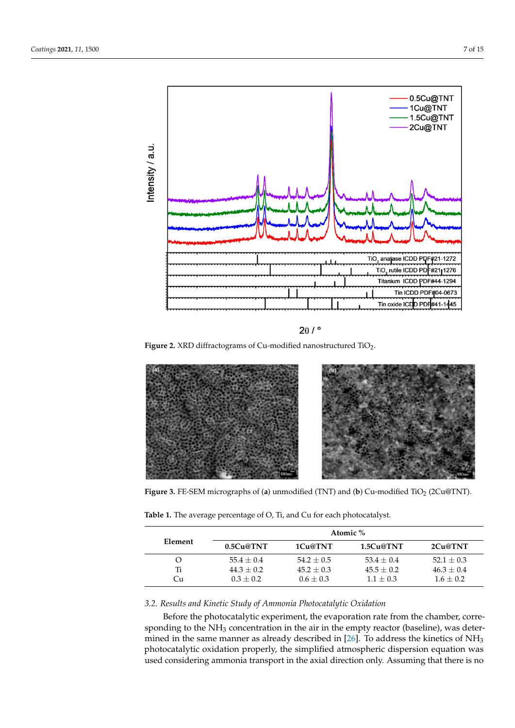<span id="page-6-0"></span>



<span id="page-6-1"></span>

**Figure 3.** FE-SEM micrographs of (**a**) unmodified (TNT) and (**b**) Cu-modified TiO<sub>2</sub> (2Cu@TNT).

<span id="page-6-2"></span>

| Table 1. The average percentage of O, Ti, and Cu for each photocatalyst. |
|--------------------------------------------------------------------------|
|--------------------------------------------------------------------------|

| Element | Atomic %     |              |               |                |  |
|---------|--------------|--------------|---------------|----------------|--|
|         | 0.5Cu@TNT    | 1Cu@TNT      | 1.5Cu@TNT     | 2Cu@TNT        |  |
|         | $55.4 + 0.4$ | $54.2 + 0.5$ | $53.4 + 0.4$  | $52.1 \pm 0.3$ |  |
| Ti      | $44.3 + 0.2$ | $45.2 + 0.3$ | $45.5 + 0.2$  | $46.3 + 0.4$   |  |
| €u      | $0.3 + 0.2$  | $0.6 + 0.3$  | $1.1 \pm 0.3$ | $1.6 + 0.2$    |  |

# *3.2. Results and Kinetic Study of Ammonia Photocatalytic Oxidation*

Before the photocatalytic experiment, the evaporation rate from the chamber, corre-mined in the same manner as already described in [\[26\]](#page-13-25). To address the kinetics of  $NH<sub>3</sub>$ photocatalytic oxidation properly, the simplified atmospheric dispersion equation was  $\frac{1}{100}$ used considering ammonia transport in the axial direction only. Assuming that there is no sponding to the  $NH<sub>3</sub>$  concentration in the air in the empty reactor (baseline), was deter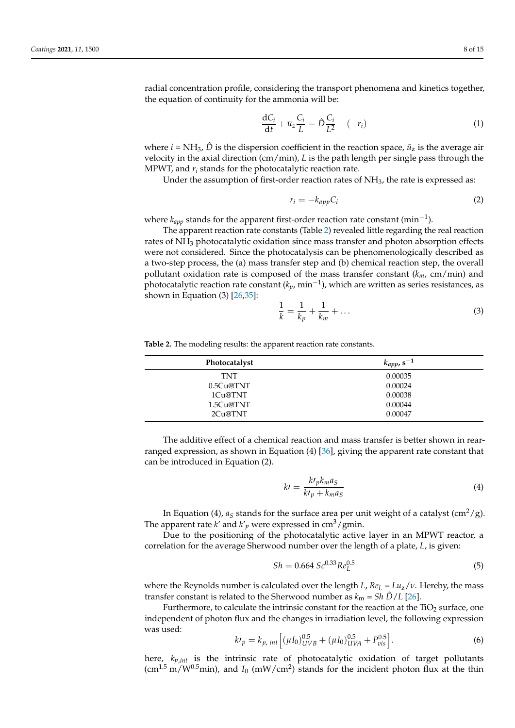radial concentration profile, considering the transport phenomena and kinetics together, the equation of continuity for the ammonia will be:

$$
\frac{\mathrm{d}C_i}{\mathrm{d}t} + \overline{u}_z \frac{C_i}{L} = \hat{D} \frac{C_i}{L^2} - (-r_i) \tag{1}
$$

where  $i = NH_3$ ,  $\ddot{D}$  is the dispersion coefficient in the reaction space,  $\ddot{u}_z$  is the average air velocity in the axial direction (cm/min), *L* is the path length per single pass through the MPWT, and *r<sup>i</sup>* stands for the photocatalytic reaction rate.

Under the assumption of first-order reaction rates of  $NH<sub>3</sub>$ , the rate is expressed as:

$$
r_i = -k_{app}C_i \tag{2}
$$

where *kapp* stands for the apparent first-order reaction rate constant (min−<sup>1</sup> ).

The apparent reaction rate constants (Table [2\)](#page-7-0) revealed little regarding the real reaction rates of NH<sub>3</sub> photocatalytic oxidation since mass transfer and photon absorption effects were not considered. Since the photocatalysis can be phenomenologically described as a two-step process, the (a) mass transfer step and (b) chemical reaction step, the overall pollutant oxidation rate is composed of the mass transfer constant  $(k_m, cm/min)$  and photocatalytic reaction rate constant (*kp*, min−<sup>1</sup> ), which are written as series resistances, as shown in Equation (3) [\[26](#page-13-25)[,35\]](#page-14-7):

$$
\frac{1}{k} = \frac{1}{k_p} + \frac{1}{k_m} + \dots
$$
 (3)

<span id="page-7-0"></span>**Table 2.** The modeling results: the apparent reaction rate constants.

| <b>Photocatalyst</b> | $k_{app}$ , s <sup>-1</sup> |
|----------------------|-----------------------------|
| TNT                  | 0.00035                     |
| 0.5Cu@TNT            | 0.00024                     |
| 1Cu@TNT              | 0.00038                     |
| 1.5Cu@TNT            | 0.00044                     |
| 2Cu@TNT              | 0.00047                     |

The additive effect of a chemical reaction and mass transfer is better shown in rearranged expression, as shown in Equation (4) [\[36\]](#page-14-8), giving the apparent rate constant that can be introduced in Equation (2).

$$
k\prime = \frac{k\prime_p k_m a_S}{k\prime_p + k_m a_S} \tag{4}
$$

In Equation (4),  $a_S$  stands for the surface area per unit weight of a catalyst (cm<sup>2</sup>/g). The apparent rate  $k'$  and  $k'$ <sub>p</sub> were expressed in cm<sup>3</sup>/gmin.

Due to the positioning of the photocatalytic active layer in an MPWT reactor, a correlation for the average Sherwood number over the length of a plate, *L*, is given:

$$
Sh = 0.664 \, Sc^{0.33} Re_L^{0.5}
$$
 (5)

where the Reynolds number is calculated over the length *L*,  $Re_L = \frac{L u_z}{v}$ . Hereby, the mass transfer constant is related to the Sherwood number as  $k_m = Sh \hat{D}/L$  [\[26\]](#page-13-25).

Furthermore, to calculate the intrinsic constant for the reaction at the  $TiO<sub>2</sub>$  surface, one independent of photon flux and the changes in irradiation level, the following expression was used:

$$
k'p = k_{p, int} \left[ (\mu I_0)_{UVB}^{0.5} + (\mu I_0)_{UVA}^{0.5} + P_{vis}^{0.5} \right].
$$
 (6)

here, *kp*,*int* is the intrinsic rate of photocatalytic oxidation of target pollutants  $(\text{cm}^{1.5} \text{ m}/\text{W}^{0.5} \text{min})$ , and *I*<sub>0</sub> (mW/cm<sup>2</sup>) stands for the incident photon flux at the thin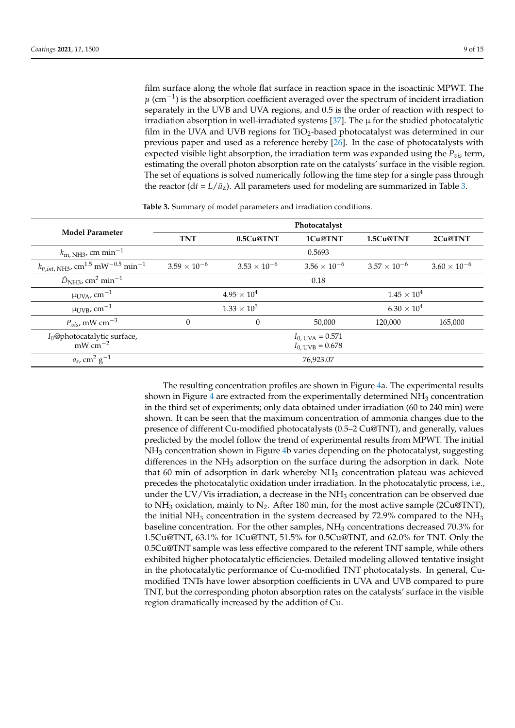film surface along the whole flat surface in reaction space in the isoactinic MPWT. The  $\mu$  (cm<sup>-1</sup>) is the absorption coefficient averaged over the spectrum of incident irradiation separately in the UVB and UVA regions, and 0.5 is the order of reaction with respect to irradiation absorption in well-irradiated systems [\[37\]](#page-14-9). The  $\mu$  for the studied photocatalytic film in the UVA and UVB regions for  $TiO<sub>2</sub>$ -based photocatalyst was determined in our previous paper and used as a reference hereby [\[26\]](#page-13-25). In the case of photocatalysts with expected visible light absorption, the irradiation term was expanded using the *Pvis* term, estimating the overall photon absorption rate on the catalysts' surface in the visible region. The set of equations is solved numerically following the time step for a single pass through the reactor ( $dt = L/\bar{u}_z$ ). All parameters used for modeling are summarized in Table [3.](#page-8-0)

<span id="page-8-0"></span>

|                                                                           | Photocatalyst         |                       |                                                            |                       |                       |
|---------------------------------------------------------------------------|-----------------------|-----------------------|------------------------------------------------------------|-----------------------|-----------------------|
| <b>Model Parameter</b>                                                    | <b>TNT</b>            | 0.5Cu@TNT             | 1Cu@TNT                                                    | 1.5Cu@TNT             | 2Cu@TNT               |
| $k_{\rm m, NH3}$ , cm min <sup>-1</sup>                                   |                       |                       | 0.5693                                                     |                       |                       |
| $k_{p,int, NH3}$ , cm <sup>1.5</sup> mW <sup>-0.5</sup> min <sup>-1</sup> | $3.59 \times 10^{-6}$ | $3.53 \times 10^{-6}$ | $3.56 \times 10^{-6}$                                      | $3.57 \times 10^{-6}$ | $3.60 \times 10^{-6}$ |
| $\hat{D}_{\text{NH3}}$ , cm <sup>2</sup> min <sup>-1</sup>                |                       |                       | 0.18                                                       |                       |                       |
| $\mu_{\text{UVA}}$ , cm <sup>-1</sup>                                     |                       | $4.95 \times 10^{4}$  |                                                            | $1.45 \times 10^{4}$  |                       |
| $\mu_{\rm UVB}$ , cm $^{-1}$                                              |                       | $1.33 \times 10^{5}$  |                                                            | $6.30 \times 10^{4}$  |                       |
| $P_{vis}$ , mW cm <sup>-3</sup>                                           | $\Omega$              | $\theta$              | 50,000                                                     | 120,000               | 165,000               |
| $I_0$ @photocatalytic surface,<br>$mW cm^{-2}$                            |                       |                       | $I_{0, \text{UVA}} = 0.571$<br>$I_{0, \text{UVB}} = 0.678$ |                       |                       |
| $a_s$ , cm <sup>2</sup> g <sup>-1</sup>                                   |                       |                       | 76,923.07                                                  |                       |                       |

**Table 3.** Summary of model parameters and irradiation conditions.

The resulting concentration profiles are shown in Figure [4a](#page-9-0). The experimental results shown in Figure [4](#page-9-0) are extracted from the experimentally determined  $NH<sub>3</sub>$  concentration in the third set of experiments; only data obtained under irradiation (60 to 240 min) were shown. It can be seen that the maximum concentration of ammonia changes due to the presence of different Cu-modified photocatalysts (0.5–2 Cu@TNT), and generally, values predicted by the model follow the trend of experimental results from MPWT. The initial NH<sup>3</sup> concentration shown in Figure [4b](#page-9-0) varies depending on the photocatalyst, suggesting differences in the NH<sub>3</sub> adsorption on the surface during the adsorption in dark. Note that 60 min of adsorption in dark whereby  $NH<sub>3</sub>$  concentration plateau was achieved precedes the photocatalytic oxidation under irradiation. In the photocatalytic process, i.e., under the UV/Vis irradiation, a decrease in the  $NH<sub>3</sub>$  concentration can be observed due to NH<sub>3</sub> oxidation, mainly to N<sub>2</sub>. After 180 min, for the most active sample (2Cu@TNT), the initial NH<sub>3</sub> concentration in the system decreased by 72.9% compared to the NH<sub>3</sub> baseline concentration. For the other samples,  $NH<sub>3</sub>$  concentrations decreased 70.3% for 1.5Cu@TNT, 63.1% for 1Cu@TNT, 51.5% for 0.5Cu@TNT, and 62.0% for TNT. Only the 0.5Cu@TNT sample was less effective compared to the referent TNT sample, while others exhibited higher photocatalytic efficiencies. Detailed modeling allowed tentative insight in the photocatalytic performance of Cu-modified TNT photocatalysts. In general, Cumodified TNTs have lower absorption coefficients in UVA and UVB compared to pure TNT, but the corresponding photon absorption rates on the catalysts' surface in the visible region dramatically increased by the addition of Cu.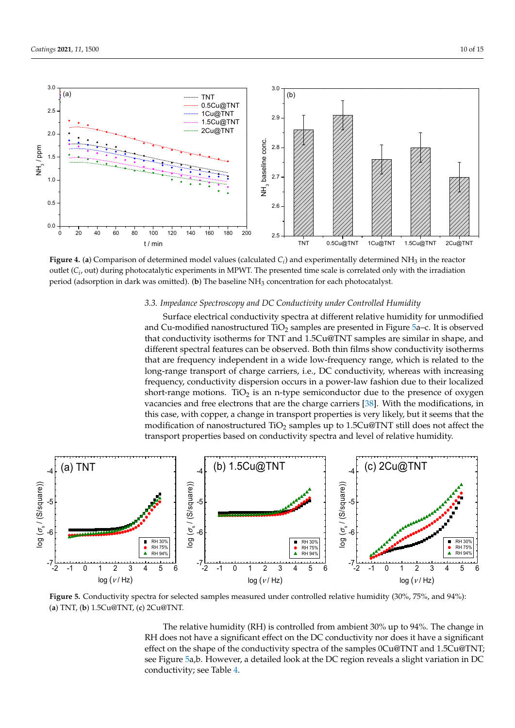<span id="page-9-0"></span>

Figure 4. (a) Comparison of determined model values (calculated  $C_i$ ) and experimentally determined NH<sub>3</sub> in the reactor outlet  $(C_i)$ , out) during photocatalytic experiments in MPWT. The presented time scale is correlated only with the irradiation period (adsorption in dark was omitted). (b) The baseline NH<sub>3</sub> concentration for each photocatalyst.

# 3.3. Impedance Spectroscopy and DC Conductivity under Controlled Humidity

Surface electrical conductivity spectra at different relative humidity for unmodified and Cu-modified nanostructured  $\overline{\text{TiO}}_2$  samples are presented in Figur[e 5](#page-9-1)a-c. It is observed that conductivity isotherms for TNT and 1.5Cu@TNT samples are similar in shape, and different spectral features can be observed. Both thin films show conductivity isotherms that are frequency independent in a wide low-frequency range, which is related to the long-range transport of charge carriers, i.e., DC conductivity, whereas with increasing frequency, conductivity dispersion occurs in a power-law fashion due to their localized short-range motions.  $TiO<sub>2</sub>$  is an n-type semiconductor due to the presence of oxygen vacancies and free electrons that are the charge carriers [38]. [W](#page-14-10)ith the modifications, in this case, with copper, a change in transport properties is very likely, but it seems that the modification of nanostructured  $\rm TiO_2$  samples up to 1.5Cu@TNT still does not affect the transport properties based on conductivity spectra and level of relative humidity.

the corresponding photon absorption rates on the catalysts' surface in the visible region

<span id="page-9-1"></span>

Figure 5. Conductivity spectra for selected samples measured under controlled relative humidity (30%, 75%, and 94%): (**a**) TNT, (**b**) 1.5Cu@TNT, (**c**) 2Cu@TNT. (**a**) TNT, (**b**) 1.5Cu@TNT, (**c**) 2Cu@TNT. (**a**) TNT, (**b**) 1.5Cu@TNT, (**c**) 2Cu@TNT.

The relative humidity (RH) is controlled from ambient 30% up to 94%. The change in RH does not have a significant effect on the DC conductivity nor does it have a significant effect on the shape of the conductivity spectra of the samples 0Cu@TNT and 1.5Cu@TNT; see Figure [5a](#page-9-1),b. However, a detailed look at the DC region reveals a slight variation in DC conductivity; see Table [4.](#page-10-0)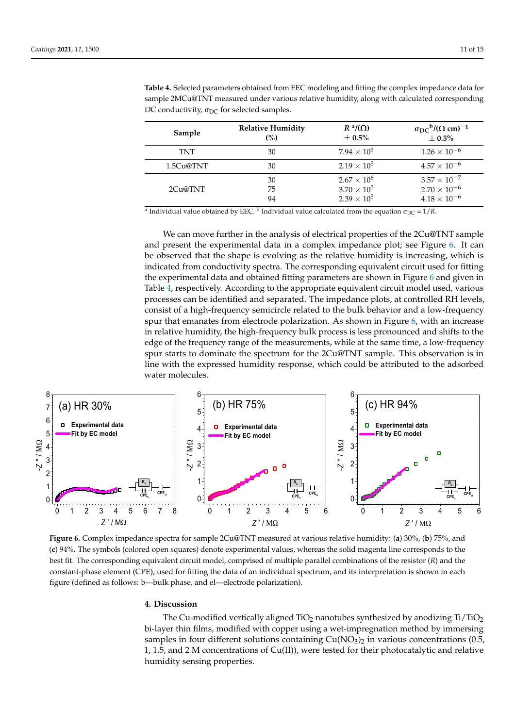| Sample    | <b>Relative Humidity</b> | $R^a/(\Omega)$       | $\sigma_{\rm DC}^{\ \ b}/(\Omega \ cm)^{-1}$ |
|-----------|--------------------------|----------------------|----------------------------------------------|
|           | (%)                      | $\pm 0.5\%$          | $\pm~0.5\%$                                  |
| TNT       | 30                       | $7.94 \times 10^5$   | $1.26 \times 10^{-6}$                        |
| 1.5Cu@TNT | 30                       | $2.19 \times 10^5$   | $4.57\times10^{-6}$                          |
| 2Cu@TNT   | 30                       | $2.67 \times 10^{6}$ | $3.57 \times 10^{-7}$                        |
|           | 75                       | $3.70 \times 10^{5}$ | $2.70 \times 10^{-6}$                        |
|           | 94                       | $2.39 \times 10^5$   | $4.18 \times 10^{-6}$                        |

<span id="page-10-0"></span>**Table 4.** Selected parameters obtained from EEC modeling and fitting the complex impedance data for **Table 4.** Selected parameters obtained from EEC modeling and fitting the complex impedance data for<br>sample 2MCu@TNT measured under various relative humidity, along with calculated corresponding DC conductivity,  $\sigma_{DC}$  for selected samples.

a Individual value obtained by EEC. <sup>b</sup> Individual value calculated from the equation  $\sigma_{DC} = 1/R$ .

We can move further in the analysis of electrical properties of the 2Cu@TNT sample We can move further in the analysis of electrical properties of the 2Cu@TNT sample and present the experimental data in a complex impedance plot; see Figure [6.](#page-10-1) It can be reserved by the experimental data in a complex impedance plot; see Figure 6. It can be observed that the shape is evolving as the relative humidity is increasing, which is observed that the shape is evolving as the relative humidity is increasing, which is indicated from conductivity spectra. The corresponding equivalent circuit used for fitting indicated from conductivity spectra. The corresponding equivalent circuit used for fitting the experimental data and obtained fitting parameters are shown in Figure [6](#page-10-1) and given in experimental data and obtained fitting parameters are shown in Figure 6 and given in Table  $\frac{1}{4}$ , respectively. According to the appropriate equivalent circuit model used, various processes can be identified and separated. The impedance plots, at controlled RH levels, processes can be identified and separated. The impedance plots, at controlled RH levels, consist of a high-frequency semicircle related to the bulk behavior and a low-frequency consist of a high-frequency semicircle related to the bulk behavior and a low-frequency spur that emanates from electrode polarization. As shown in Figure [6,](#page-10-1) with an increase in relative humidity, the high-frequency bulk process is less pronounced and shifts to the relative humidity, the high-frequency bulk process is less pronounced and shifts to the edge of the frequency range of the measurements, while at the same time, a low-frequency edge of the frequency range of the measurements, while at the same time, a low-frequency spur starts to dominate the spectrum for the 2Cu@TNT sample. This observation is in line with the expressed humidity response, which could be attributed to the adsorbed water molecules.

<span id="page-10-1"></span>

Figure 6. Complex impedance spectra for sample 2Cu@TNT measured at various relative humidity: (a) 30%, (b) 75%, and (c) 94%. The symbols (colored open squares) denote experimental values, whereas the solid magenta line corresponds to the best fit. The corresponding equivalent circuit model, comprised of multiple parallel combinations of the resistor (R) and the constant-phase element (CPE), used for fitting the data of an individual spectrum, and its interpretation is shown in each in each figure (defined as follows: b—bulk phase, and el—electrode polarization). figure (defined as follows: b—bulk phase, and el—electrode polarization).

#### **4. Discussion**

The Cu-modified vertically aligned TiO<sub>2</sub> nanotubes synthesized by anodizing Ti/TiO<sub>2</sub> bi-layer thin films, modified with copper using a wet-impregnation method by immersing samples in four different solutions containing  $Cu(NO<sub>3</sub>)<sub>2</sub>$  in various concentrations (0.5, 1, 1.5, and 2 M concentrations of Cu(II)), were tested for their photocatalytic and relative humidity sensing properties.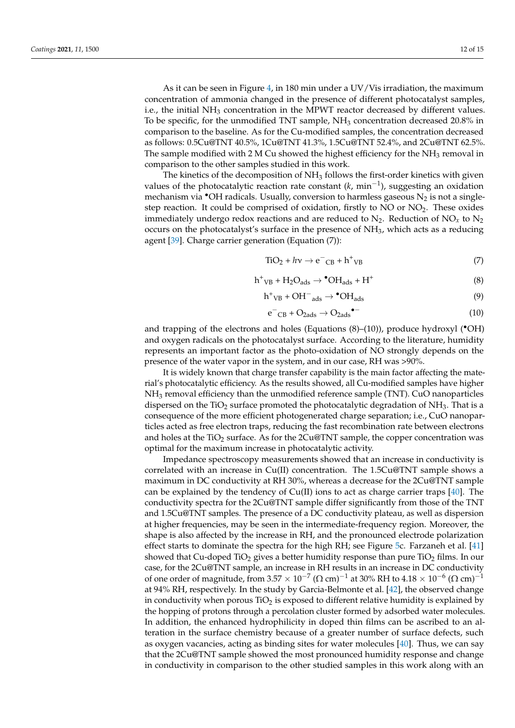As it can be seen in Figure [4,](#page-9-0) in 180 min under a UV/Vis irradiation, the maximum concentration of ammonia changed in the presence of different photocatalyst samples, i.e., the initial  $NH_3$  concentration in the MPWT reactor decreased by different values. To be specific, for the unmodified TNT sample, NH<sup>3</sup> concentration decreased 20.8% in comparison to the baseline. As for the Cu-modified samples, the concentration decreased as follows: 0.5Cu@TNT 40.5%, 1Cu@TNT 41.3%, 1.5Cu@TNT 52.4%, and 2Cu@TNT 62.5%. The sample modified with 2 M Cu showed the highest efficiency for the  $NH<sub>3</sub>$  removal in comparison to the other samples studied in this work.

The kinetics of the decomposition of  $NH<sub>3</sub>$  follows the first-order kinetics with given values of the photocatalytic reaction rate constant (*k*, min−<sup>1</sup> ), suggesting an oxidation mechanism via  $\bullet$ OH radicals. Usually, conversion to harmless gaseous  $N_2$  is not a singlestep reaction. It could be comprised of oxidation, firstly to  $NO$  or  $NO<sub>2</sub>$ . These oxides immediately undergo redox reactions and are reduced to  $N_2$ . Reduction of  $NO<sub>x</sub>$  to  $N_2$ occurs on the photocatalyst's surface in the presence of  $NH<sub>3</sub>$ , which acts as a reducing agent [\[39\]](#page-14-11). Charge carrier generation (Equation (7)):

$$
TiO2 + h\nu \rightarrow e^-CB + h^+VB
$$
 (7)

$$
h^{+}{}_{VB} + H_{2}O_{ads} \rightarrow {}^{\bullet}OH_{ads} + H^{+}
$$
 (8)

$$
h^{+}{}_{VB} + OH^{-}{}_{ads} \rightarrow \bullet OH_{ads}
$$
 (9)

$$
e^-{}_{CB} + O_{2ads} \rightarrow O_{2ads} \bullet^-
$$
 (10)

and trapping of the electrons and holes (Equations  $(8)$ – $(10)$ ), produce hydroxyl ( $\bullet$ OH) and oxygen radicals on the photocatalyst surface. According to the literature, humidity represents an important factor as the photo-oxidation of NO strongly depends on the presence of the water vapor in the system, and in our case, RH was >90%.

It is widely known that charge transfer capability is the main factor affecting the material's photocatalytic efficiency. As the results showed, all Cu-modified samples have higher NH<sup>3</sup> removal efficiency than the unmodified reference sample (TNT). CuO nanoparticles dispersed on the TiO<sub>2</sub> surface promoted the photocatalytic degradation of  $NH<sub>3</sub>$ . That is a consequence of the more efficient photogenerated charge separation; i.e., CuO nanoparticles acted as free electron traps, reducing the fast recombination rate between electrons and holes at the  $TiO<sub>2</sub>$  surface. As for the  $2Cu@TNT$  sample, the copper concentration was optimal for the maximum increase in photocatalytic activity.

Impedance spectroscopy measurements showed that an increase in conductivity is correlated with an increase in Cu(II) concentration. The 1.5Cu@TNT sample shows a maximum in DC conductivity at RH 30%, whereas a decrease for the 2Cu@TNT sample can be explained by the tendency of Cu(II) ions to act as charge carrier traps [\[40\]](#page-14-12). The conductivity spectra for the 2Cu@TNT sample differ significantly from those of the TNT and 1.5Cu@TNT samples. The presence of a DC conductivity plateau, as well as dispersion at higher frequencies, may be seen in the intermediate-frequency region. Moreover, the shape is also affected by the increase in RH, and the pronounced electrode polarization effect starts to dominate the spectra for the high RH; see Figure [5c](#page-9-1). Farzaneh et al. [\[41\]](#page-14-13) showed that Cu-doped TiO<sub>2</sub> gives a better humidity response than pure TiO<sub>2</sub> films. In our case, for the 2Cu@TNT sample, an increase in RH results in an increase in DC conductivity of one order of magnitude, from 3.57  $\times$   $10^{-7}$  ( $\Omega$  cm) $^{-1}$  at 30% RH to 4.18  $\times$   $10^{-6}$  ( $\Omega$  cm) $^{-1}$ at 94% RH, respectively. In the study by Garcia-Belmonte et al. [\[42\]](#page-14-14), the observed change in conductivity when porous  $TiO<sub>2</sub>$  is exposed to different relative humidity is explained by the hopping of protons through a percolation cluster formed by adsorbed water molecules. In addition, the enhanced hydrophilicity in doped thin films can be ascribed to an alteration in the surface chemistry because of a greater number of surface defects, such as oxygen vacancies, acting as binding sites for water molecules [\[40\]](#page-14-12). Thus, we can say that the 2Cu@TNT sample showed the most pronounced humidity response and change in conductivity in comparison to the other studied samples in this work along with an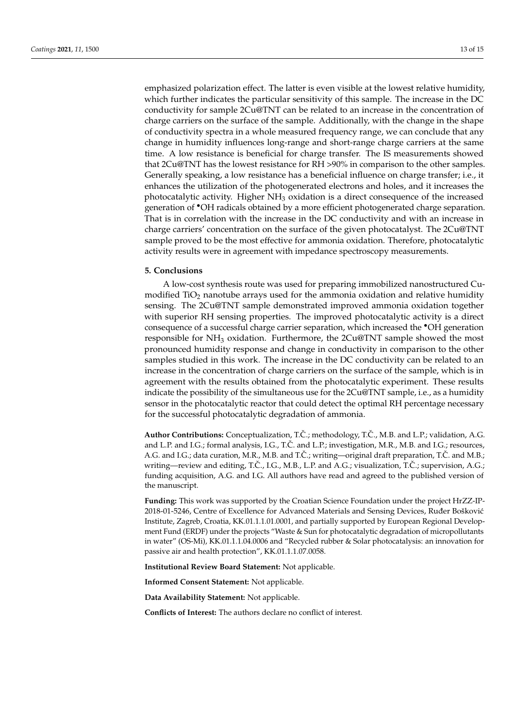emphasized polarization effect. The latter is even visible at the lowest relative humidity, which further indicates the particular sensitivity of this sample. The increase in the DC conductivity for sample 2Cu@TNT can be related to an increase in the concentration of charge carriers on the surface of the sample. Additionally, with the change in the shape of conductivity spectra in a whole measured frequency range, we can conclude that any change in humidity influences long-range and short-range charge carriers at the same time. A low resistance is beneficial for charge transfer. The IS measurements showed that 2Cu@TNT has the lowest resistance for RH >90% in comparison to the other samples. Generally speaking, a low resistance has a beneficial influence on charge transfer; i.e., it enhances the utilization of the photogenerated electrons and holes, and it increases the photocatalytic activity. Higher NH<sub>3</sub> oxidation is a direct consequence of the increased generation of •OH radicals obtained by a more efficient photogenerated charge separation. That is in correlation with the increase in the DC conductivity and with an increase in charge carriers' concentration on the surface of the given photocatalyst. The 2Cu@TNT sample proved to be the most effective for ammonia oxidation. Therefore, photocatalytic activity results were in agreement with impedance spectroscopy measurements.

#### **5. Conclusions**

A low-cost synthesis route was used for preparing immobilized nanostructured Cumodified  $TiO<sub>2</sub>$  nanotube arrays used for the ammonia oxidation and relative humidity sensing. The 2Cu@TNT sample demonstrated improved ammonia oxidation together with superior RH sensing properties. The improved photocatalytic activity is a direct consequence of a successful charge carrier separation, which increased the •OH generation responsible for NH<sup>3</sup> oxidation. Furthermore, the 2Cu@TNT sample showed the most pronounced humidity response and change in conductivity in comparison to the other samples studied in this work. The increase in the DC conductivity can be related to an increase in the concentration of charge carriers on the surface of the sample, which is in agreement with the results obtained from the photocatalytic experiment. These results indicate the possibility of the simultaneous use for the 2Cu@TNT sample, i.e., as a humidity sensor in the photocatalytic reactor that could detect the optimal RH percentage necessary for the successful photocatalytic degradation of ammonia.

Author Contributions: Conceptualization, T.Č.; methodology, T.Č., M.B. and L.P.; validation, A.G. and L.P. and I.G.; formal analysis, I.G., T.Č. and L.P.; investigation, M.R., M.B. and I.G.; resources, A.G. and I.G.; data curation, M.R., M.B. and T.Č.; writing—original draft preparation, T.Č. and M.B.; writing—review and editing, T.C., I.G., M.B., L.P. and A.G.; visualization, T.C.; supervision, A.G.; funding acquisition, A.G. and I.G. All authors have read and agreed to the published version of the manuscript.

**Funding:** This work was supported by the Croatian Science Foundation under the project HrZZ-IP-2018-01-5246, Centre of Excellence for Advanced Materials and Sensing Devices, Ruđer Bošković Institute, Zagreb, Croatia, KK.01.1.1.01.0001, and partially supported by European Regional Development Fund (ERDF) under the projects "Waste & Sun for photocatalytic degradation of micropollutants in water" (OS-Mi), KK.01.1.1.04.0006 and "Recycled rubber & Solar photocatalysis: an innovation for passive air and health protection", KK.01.1.1.07.0058.

**Institutional Review Board Statement:** Not applicable.

**Informed Consent Statement:** Not applicable.

**Data Availability Statement:** Not applicable.

**Conflicts of Interest:** The authors declare no conflict of interest.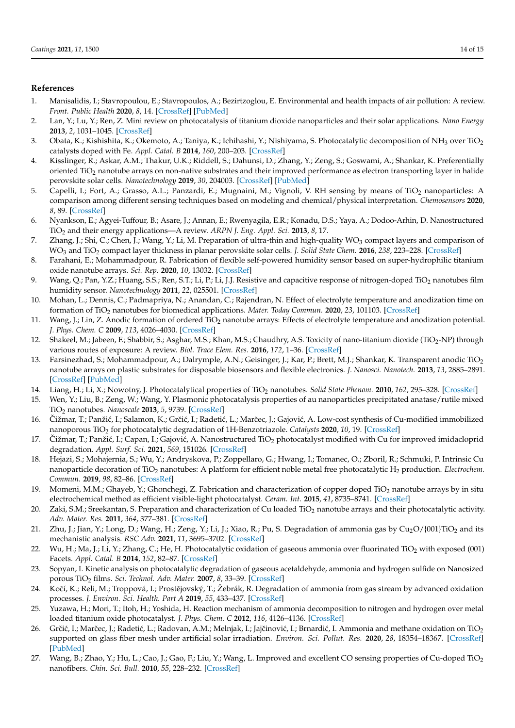# **References**

- <span id="page-13-0"></span>1. Manisalidis, I.; Stavropoulou, E.; Stavropoulos, A.; Bezirtzoglou, E. Environmental and health impacts of air pollution: A review. *Front. Public Health* **2020**, *8*, 14. [\[CrossRef\]](http://doi.org/10.3389/fpubh.2020.00014) [\[PubMed\]](http://www.ncbi.nlm.nih.gov/pubmed/32154200)
- <span id="page-13-1"></span>2. Lan, Y.; Lu, Y.; Ren, Z. Mini review on photocatalysis of titanium dioxide nanoparticles and their solar applications. *Nano Energy* **2013**, *2*, 1031–1045. [\[CrossRef\]](http://doi.org/10.1016/j.nanoen.2013.04.002)
- <span id="page-13-2"></span>3. Obata, K.; Kishishita, K.; Okemoto, A.; Taniya, K.; Ichihashi, Y.; Nishiyama, S. Photocatalytic decomposition of NH<sub>3</sub> over TiO<sub>2</sub> catalysts doped with Fe. *Appl. Catal. B* **2014**, *160*, 200–203. [\[CrossRef\]](http://doi.org/10.1016/j.apcatb.2014.05.033)
- <span id="page-13-3"></span>4. Kisslinger, R.; Askar, A.M.; Thakur, U.K.; Riddell, S.; Dahunsi, D.; Zhang, Y.; Zeng, S.; Goswami, A.; Shankar, K. Preferentially oriented TiO<sub>2</sub> nanotube arrays on non-native substrates and their improved performance as electron transporting layer in halide perovskite solar cells. *Nanotechnology* **2019**, *30*, 204003. [\[CrossRef\]](http://doi.org/10.1088/1361-6528/aae9b6) [\[PubMed\]](http://www.ncbi.nlm.nih.gov/pubmed/30524004)
- <span id="page-13-4"></span>5. Capelli, I.; Fort, A.; Grasso, A.L.; Panzardi, E.; Mugnaini, M.; Vignoli, V. RH sensing by means of TiO<sub>2</sub> nanoparticles: A comparison among different sensing techniques based on modeling and chemical/physical interpretation. *Chemosensors* **2020**, *8*, 89. [\[CrossRef\]](http://doi.org/10.3390/chemosensors8040089)
- <span id="page-13-5"></span>6. Nyankson, E.; Agyei-Tuffour, B.; Asare, J.; Annan, E.; Rwenyagila, E.R.; Konadu, D.S.; Yaya, A.; Dodoo-Arhin, D. Nanostructured TiO<sup>2</sup> and their energy applications—A review. *ARPN J. Eng. Appl. Sci.* **2013**, *8*, 17.
- <span id="page-13-6"></span>7. Zhang, J.; Shi, C.; Chen, J.; Wang, Y.; Li, M. Preparation of ultra-thin and high-quality WO<sub>3</sub> compact layers and comparison of WO<sup>3</sup> and TiO<sup>2</sup> compact layer thickness in planar perovskite solar cells. *J. Solid State Chem.* **2016**, *238*, 223–228. [\[CrossRef\]](http://doi.org/10.1016/j.jssc.2016.03.033)
- <span id="page-13-7"></span>8. Farahani, E.; Mohammadpour, R. Fabrication of flexible self-powered humidity sensor based on super-hydrophilic titanium oxide nanotube arrays. *Sci. Rep.* **2020**, *10*, 13032. [\[CrossRef\]](http://doi.org/10.1038/s41598-020-70031-z)
- <span id="page-13-8"></span>9. Wang, Q.; Pan, Y.Z.; Huang, S.S.; Ren, S.T.; Li, P.; Li, J.J. Resistive and capacitive response of nitrogen-doped TiO<sup>2</sup> nanotubes film humidity sensor. *Nanotechnology* **2011**, *22*, 025501. [\[CrossRef\]](http://doi.org/10.1088/0957-4484/22/2/025501)
- <span id="page-13-9"></span>10. Mohan, L.; Dennis, C.; Padmapriya, N.; Anandan, C.; Rajendran, N. Effect of electrolyte temperature and anodization time on formation of TiO<sup>2</sup> nanotubes for biomedical applications. *Mater. Today Commun.* **2020**, *23*, 101103. [\[CrossRef\]](https://doi.org/10.1016/j.mtcomm.2020.101103)
- <span id="page-13-10"></span>11. Wang, J.; Lin, Z. Anodic formation of ordered TiO<sub>2</sub> nanotube arrays: Effects of electrolyte temperature and anodization potential. *J. Phys. Chem. C* **2009**, *113*, 4026–4030. [\[CrossRef\]](http://doi.org/10.1021/jp811201x)
- <span id="page-13-11"></span>12. Shakeel, M.; Jabeen, F.; Shabbir, S.; Asghar, M.S.; Khan, M.S.; Chaudhry, A.S. Toxicity of nano-titanium dioxide (TiO<sub>2</sub>-NP) through various routes of exposure: A review. *Biol. Trace Elem. Res.* **2016**, *172*, 1–36. [\[CrossRef\]](http://doi.org/10.1007/s12011-015-0550-x)
- <span id="page-13-12"></span>13. Farsinezhad, S.; Mohammadpour, A.; Dalrymple, A.N.; Geisinger, J.; Kar, P.; Brett, M.J.; Shankar, K. Transparent anodic TiO<sub>2</sub> nanotube arrays on plastic substrates for disposable biosensors and flexible electronics. *J. Nanosci. Nanotech.* **2013**, *13*, 2885–2891. [\[CrossRef\]](http://doi.org/10.1166/jnn.2013.7409) [\[PubMed\]](http://www.ncbi.nlm.nih.gov/pubmed/23763175)
- <span id="page-13-13"></span>14. Liang, H.; Li, X.; Nowotny, J. Photocatalytical properties of TiO<sup>2</sup> nanotubes. *Solid State Phenom.* **2010**, *162*, 295–328. [\[CrossRef\]](http://doi.org/10.4028/www.scientific.net/SSP.162.295)
- <span id="page-13-14"></span>15. Wen, Y.; Liu, B.; Zeng, W.; Wang, Y. Plasmonic photocatalysis properties of au nanoparticles precipitated anatase/rutile mixed TiO<sup>2</sup> nanotubes. *Nanoscale* **2013**, *5*, 9739. [\[CrossRef\]](http://doi.org/10.1039/c3nr03024e)
- <span id="page-13-15"></span>16. Čižmar, T.; Panžić, I.; Salamon, K.; Grčić, I.; Radetić, L.; Marčec, J.; Gajović, A. Low-cost synthesis of Cu-modified immobilized nanoporous TiO<sup>2</sup> for photocatalytic degradation of 1H-Benzotriazole. *Catalysts* **2020**, *10*, 19. [\[CrossRef\]](http://doi.org/10.3390/catal10010019)
- <span id="page-13-16"></span>17. Čižmar, T.; Panžić, I.; Capan, I.; Gajović, A. Nanostructured TiO<sub>2</sub> photocatalyst modified with Cu for improved imidacloprid degradation. *Appl. Surf. Sci.* **2021**, *569*, 151026. [\[CrossRef\]](http://doi.org/10.1016/j.apsusc.2021.151026)
- <span id="page-13-17"></span>18. Hejazi, S.; Mohajernia, S.; Wu, Y.; Andryskova, P.; Zoppellaro, G.; Hwang, I.; Tomanec, O.; Zboril, R.; Schmuki, P. Intrinsic Cu nanoparticle decoration of TiO<sub>2</sub> nanotubes: A platform for efficient noble metal free photocatalytic H<sub>2</sub> production. *Electrochem. Commun.* **2019**, *98*, 82–86. [\[CrossRef\]](http://doi.org/10.1016/j.elecom.2018.11.020)
- <span id="page-13-18"></span>19. Momeni, M.M.; Ghayeb, Y.; Ghonchegi, Z. Fabrication and characterization of copper doped TiO<sub>2</sub> nanotube arrays by in situ electrochemical method as efficient visible-light photocatalyst. *Ceram. Int.* **2015**, *41*, 8735–8741. [\[CrossRef\]](http://doi.org/10.1016/j.ceramint.2015.03.094)
- <span id="page-13-19"></span>20. Zaki, S.M.; Sreekantan, S. Preparation and characterization of Cu loaded TiO<sub>2</sub> nanotube arrays and their photocatalytic activity. *Adv. Mater. Res.* **2011**, *364*, 377–381. [\[CrossRef\]](http://doi.org/10.4028/www.scientific.net/AMR.364.377)
- <span id="page-13-20"></span>21. Zhu, J.; Jian, Y.; Long, D.; Wang, H.; Zeng, Y.; Li, J.; Xiao, R.; Pu, S. Degradation of ammonia gas by  $Cu_2O/(001)TiO_2$  and its mechanistic analysis. *RSC Adv.* **2021**, *11*, 3695–3702. [\[CrossRef\]](http://doi.org/10.1039/D0RA10431K)
- <span id="page-13-21"></span>22. Wu, H.; Ma, J.; Li, Y.; Zhang, C.; He, H. Photocatalytic oxidation of gaseous ammonia over fluorinated TiO<sub>2</sub> with exposed (001) Facets. *Appl. Catal. B* **2014**, *152*, 82–87. [\[CrossRef\]](http://doi.org/10.1016/j.apcatb.2014.01.021)
- <span id="page-13-22"></span>23. Sopyan, I. Kinetic analysis on photocatalytic degradation of gaseous acetaldehyde, ammonia and hydrogen sulfide on Nanosized porous TiO<sup>2</sup> films. *Sci. Technol. Adv. Mater.* **2007**, *8*, 33–39. [\[CrossRef\]](http://doi.org/10.1016/j.stam.2006.10.004)
- <span id="page-13-23"></span>24. Kočí, K.; Reli, M.; Troppová, I.; Prostějovský, T.; Žebrák, R. Degradation of ammonia from gas stream by advanced oxidation processes. *J. Environ. Sci. Health. Part A* **2019**, *55*, 433–437. [\[CrossRef\]](http://doi.org/10.1080/10934529.2019.1705105)
- <span id="page-13-24"></span>25. Yuzawa, H.; Mori, T.; Itoh, H.; Yoshida, H. Reaction mechanism of ammonia decomposition to nitrogen and hydrogen over metal loaded titanium oxide photocatalyst. *J. Phys. Chem. C* **2012**, *116*, 4126–4136. [\[CrossRef\]](http://doi.org/10.1021/jp209795t)
- <span id="page-13-25"></span>26. Grčić, I.; Marčec, J.; Radetić, L.; Radovan, A.M.; Melnjak, I.; Jajčinović, I.; Brnardić, I. Ammonia and methane oxidation on TiO<sub>2</sub> supported on glass fiber mesh under artificial solar irradiation. *Environ. Sci. Pollut. Res.* **2020**, *28*, 18354–18367. [\[CrossRef\]](http://doi.org/10.1007/s11356-020-09561-y) [\[PubMed\]](http://www.ncbi.nlm.nih.gov/pubmed/32556993)
- <span id="page-13-26"></span>27. Wang, B.; Zhao, Y.; Hu, L.; Cao, J.; Gao, F.; Liu, Y.; Wang, L. Improved and excellent CO sensing properties of Cu-doped TiO<sub>2</sub> nanofibers. *Chin. Sci. Bull.* **2010**, *55*, 228–232. [\[CrossRef\]](http://doi.org/10.1007/s11434-009-0727-9)